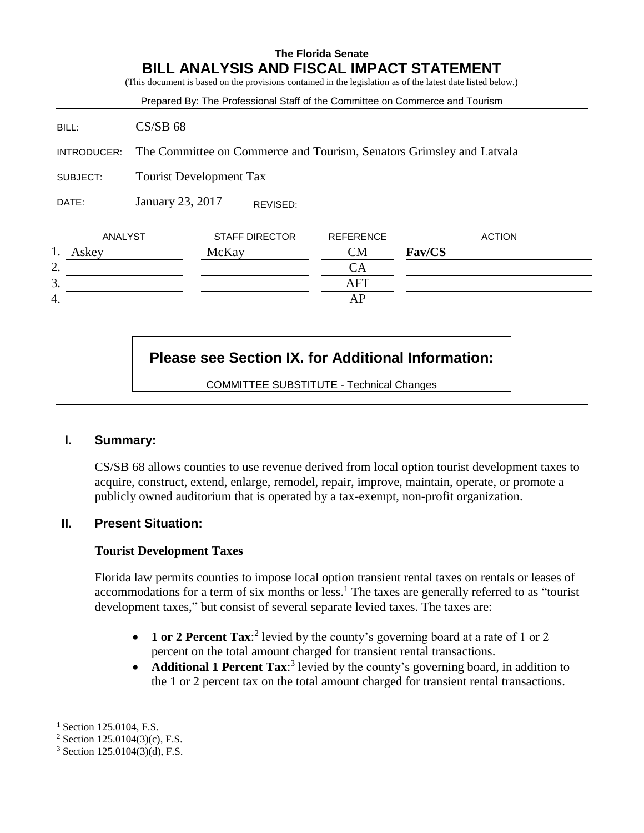# **The Florida Senate BILL ANALYSIS AND FISCAL IMPACT STATEMENT** (This document is based on the provisions contained in the legislation as of the latest date listed below.) Prepared By: The Professional Staff of the Committee on Commerce and Tourism BILL: CS/SB 68 INTRODUCER: The Committee on Commerce and Tourism, Senators Grimsley and Latvala SUBJECT: Tourist Development Tax DATE: January 23, 2017 ANALYST STAFF DIRECTOR REFERENCE ACTION 1. Askey McKay CM **Fav/CS**  $2.$  CA 3. AFT 4. AP REVISED:

## **Please see Section IX. for Additional Information:**

COMMITTEE SUBSTITUTE - Technical Changes

#### **I. Summary:**

CS/SB 68 allows counties to use revenue derived from local option tourist development taxes to acquire, construct, extend, enlarge, remodel, repair, improve, maintain, operate, or promote a publicly owned auditorium that is operated by a tax-exempt, non-profit organization.

### **II. Present Situation:**

#### **Tourist Development Taxes**

Florida law permits counties to impose local option transient rental taxes on rentals or leases of accommodations for a term of six months or less.<sup>1</sup> The taxes are generally referred to as "tourist development taxes," but consist of several separate levied taxes. The taxes are:

- **1 or 2 Percent Tax:**<sup>2</sup> levied by the county's governing board at a rate of 1 or 2 percent on the total amount charged for transient rental transactions.
- **Additional 1 Percent Tax:**<sup>3</sup> levied by the county's governing board, in addition to the 1 or 2 percent tax on the total amount charged for transient rental transactions.

 $\overline{a}$ 

 $^{1}$  Section 125.0104, F.S.

 $2$  Section 125.0104(3)(c), F.S.

 $3$  Section 125.0104(3)(d), F.S.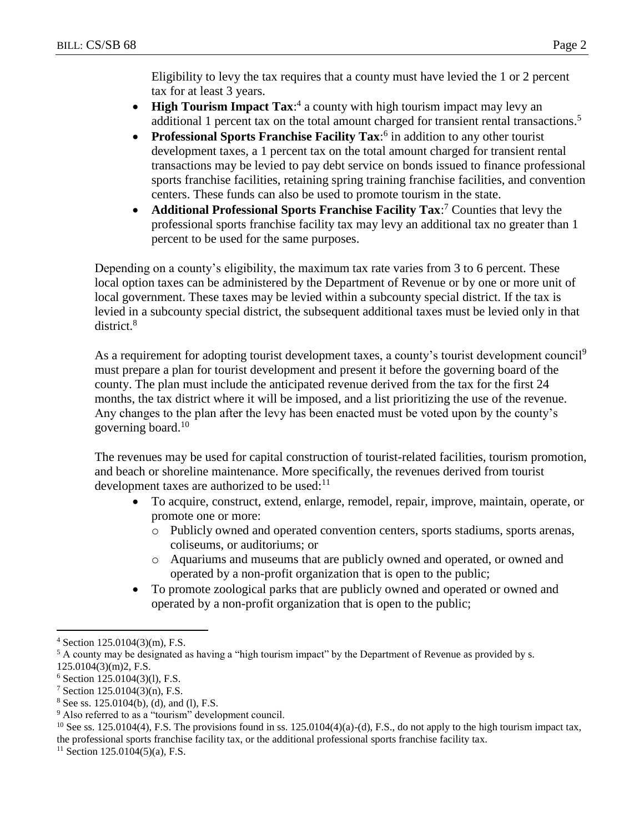Eligibility to levy the tax requires that a county must have levied the 1 or 2 percent tax for at least 3 years.

- **High Tourism Impact Tax:**<sup>4</sup> a county with high tourism impact may levy an additional 1 percent tax on the total amount charged for transient rental transactions.<sup>5</sup>
- **Professional Sports Franchise Facility Tax:**<sup>6</sup> in addition to any other tourist development taxes, a 1 percent tax on the total amount charged for transient rental transactions may be levied to pay debt service on bonds issued to finance professional sports franchise facilities, retaining spring training franchise facilities, and convention centers. These funds can also be used to promote tourism in the state.
- **Additional Professional Sports Franchise Facility Tax:**<sup>7</sup> Counties that levy the professional sports franchise facility tax may levy an additional tax no greater than 1 percent to be used for the same purposes.

Depending on a county's eligibility, the maximum tax rate varies from 3 to 6 percent. These local option taxes can be administered by the Department of Revenue or by one or more unit of local government. These taxes may be levied within a subcounty special district. If the tax is levied in a subcounty special district, the subsequent additional taxes must be levied only in that district.<sup>8</sup>

As a requirement for adopting tourist development taxes, a county's tourist development council<sup>9</sup> must prepare a plan for tourist development and present it before the governing board of the county. The plan must include the anticipated revenue derived from the tax for the first 24 months, the tax district where it will be imposed, and a list prioritizing the use of the revenue. Any changes to the plan after the levy has been enacted must be voted upon by the county's governing board.<sup>10</sup>

The revenues may be used for capital construction of tourist-related facilities, tourism promotion, and beach or shoreline maintenance. More specifically, the revenues derived from tourist development taxes are authorized to be used:<sup>11</sup>

- To acquire, construct, extend, enlarge, remodel, repair, improve, maintain, operate, or promote one or more:
	- o Publicly owned and operated convention centers, sports stadiums, sports arenas, coliseums, or auditoriums; or
	- o Aquariums and museums that are publicly owned and operated, or owned and operated by a non-profit organization that is open to the public;
- To promote zoological parks that are publicly owned and operated or owned and operated by a non-profit organization that is open to the public;

 $\overline{a}$  $4$  Section 125.0104(3)(m), F.S.

<sup>5</sup> A county may be designated as having a "high tourism impact" by the Department of Revenue as provided by s. 125.0104(3)(m)2, F.S.

 $6$  Section 125.0104(3)(1), F.S.

<sup>7</sup> Section 125.0104(3)(n), F.S.

 $8$  See ss. 125.0104(b), (d), and (l), F.S.

<sup>&</sup>lt;sup>9</sup> Also referred to as a "tourism" development council.

<sup>&</sup>lt;sup>10</sup> See ss. 125.0104(4), F.S. The provisions found in ss. 125.0104(4)(a)-(d), F.S., do not apply to the high tourism impact tax, the professional sports franchise facility tax, or the additional professional sports franchise facility tax.

 $11$  Section 125.0104(5)(a), F.S.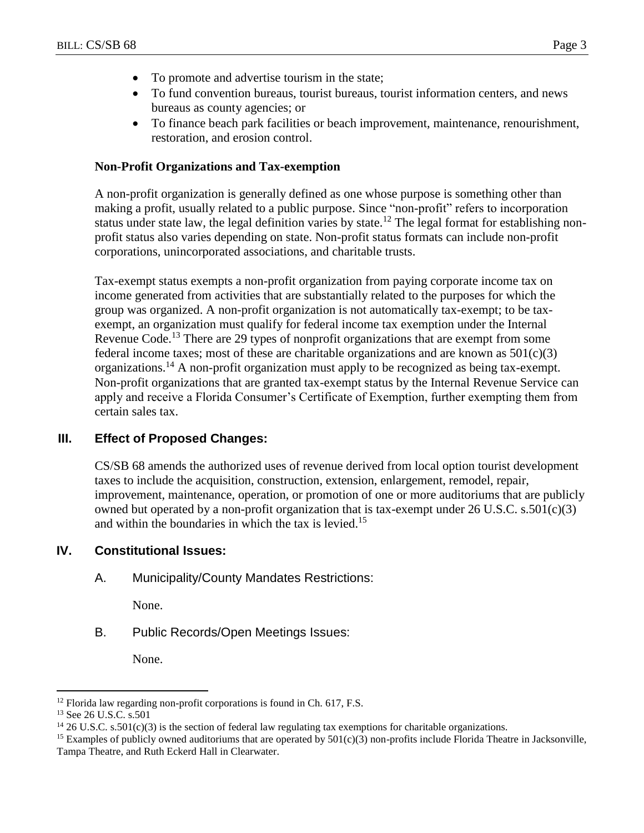- To promote and advertise tourism in the state;
- To fund convention bureaus, tourist bureaus, tourist information centers, and news bureaus as county agencies; or
- To finance beach park facilities or beach improvement, maintenance, renourishment, restoration, and erosion control.

#### **Non-Profit Organizations and Tax-exemption**

A non-profit organization is generally defined as one whose purpose is something other than making a profit, usually related to a public purpose. Since "non-profit" refers to incorporation status under state law, the legal definition varies by state.<sup>12</sup> The legal format for establishing nonprofit status also varies depending on state. Non-profit status formats can include non-profit corporations, unincorporated associations, and charitable trusts.

Tax-exempt status exempts a non-profit organization from paying corporate income tax on income generated from activities that are substantially related to the purposes for which the group was organized. A non-profit organization is not automatically tax-exempt; to be taxexempt, an organization must qualify for federal income tax exemption under the Internal Revenue Code.<sup>13</sup> There are 29 types of nonprofit organizations that are exempt from some federal income taxes; most of these are charitable organizations and are known as  $501(c)(3)$ organizations.<sup>14</sup> A non-profit organization must apply to be recognized as being tax-exempt. Non-profit organizations that are granted tax-exempt status by the Internal Revenue Service can apply and receive a Florida Consumer's Certificate of Exemption, further exempting them from certain sales tax.

#### **III. Effect of Proposed Changes:**

CS/SB 68 amends the authorized uses of revenue derived from local option tourist development taxes to include the acquisition, construction, extension, enlargement, remodel, repair, improvement, maintenance, operation, or promotion of one or more auditoriums that are publicly owned but operated by a non-profit organization that is tax-exempt under 26 U.S.C. s.501(c)(3) and within the boundaries in which the tax is levied.<sup>15</sup>

#### **IV. Constitutional Issues:**

A. Municipality/County Mandates Restrictions:

None.

B. Public Records/Open Meetings Issues:

None.

 $\overline{a}$  $12$  Florida law regarding non-profit corporations is found in Ch. 617, F.S.

<sup>&</sup>lt;sup>13</sup> See 26 U.S.C. s.501

<sup>&</sup>lt;sup>14</sup> 26 U.S.C. s.501(c)(3) is the section of federal law regulating tax exemptions for charitable organizations.

<sup>&</sup>lt;sup>15</sup> Examples of publicly owned auditoriums that are operated by  $501(c)(3)$  non-profits include Florida Theatre in Jacksonville, Tampa Theatre, and Ruth Eckerd Hall in Clearwater.